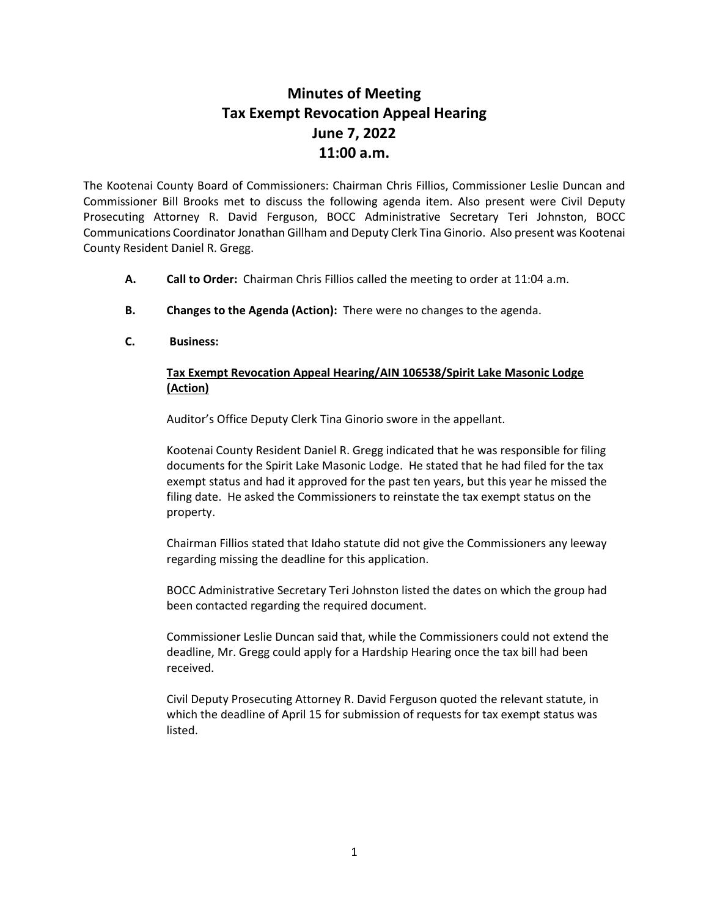## **Minutes of Meeting Tax Exempt Revocation Appeal Hearing June 7, 2022 11:00 a.m.**

The Kootenai County Board of Commissioners: Chairman Chris Fillios, Commissioner Leslie Duncan and Commissioner Bill Brooks met to discuss the following agenda item. Also present were Civil Deputy Prosecuting Attorney R. David Ferguson, BOCC Administrative Secretary Teri Johnston, BOCC Communications Coordinator Jonathan Gillham and Deputy Clerk Tina Ginorio. Also present was Kootenai County Resident Daniel R. Gregg.

- **A. Call to Order:** Chairman Chris Fillios called the meeting to order at 11:04 a.m.
- **B. Changes to the Agenda (Action):** There were no changes to the agenda.
- **C. Business:**

## **Tax Exempt Revocation Appeal Hearing/AIN 106538/Spirit Lake Masonic Lodge (Action)**

Auditor's Office Deputy Clerk Tina Ginorio swore in the appellant.

Kootenai County Resident Daniel R. Gregg indicated that he was responsible for filing documents for the Spirit Lake Masonic Lodge. He stated that he had filed for the tax exempt status and had it approved for the past ten years, but this year he missed the filing date. He asked the Commissioners to reinstate the tax exempt status on the property.

Chairman Fillios stated that Idaho statute did not give the Commissioners any leeway regarding missing the deadline for this application.

BOCC Administrative Secretary Teri Johnston listed the dates on which the group had been contacted regarding the required document.

Commissioner Leslie Duncan said that, while the Commissioners could not extend the deadline, Mr. Gregg could apply for a Hardship Hearing once the tax bill had been received.

Civil Deputy Prosecuting Attorney R. David Ferguson quoted the relevant statute, in which the deadline of April 15 for submission of requests for tax exempt status was listed.